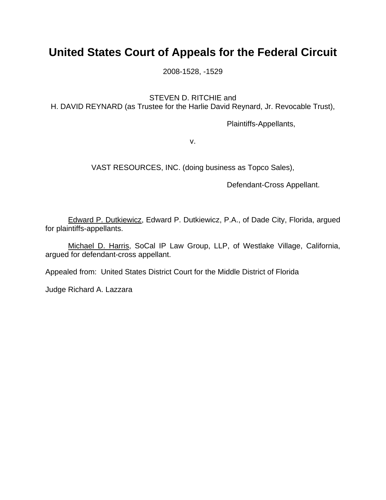## **United States Court of Appeals for the Federal Circuit**

2008-1528, -1529

STEVEN D. RITCHIE and

H. DAVID REYNARD (as Trustee for the Harlie David Reynard, Jr. Revocable Trust),

Plaintiffs-Appellants,

v.

VAST RESOURCES, INC. (doing business as Topco Sales),

Defendant-Cross Appellant.

 Edward P. Dutkiewicz, Edward P. Dutkiewicz, P.A., of Dade City, Florida, argued for plaintiffs-appellants.

 Michael D. Harris, SoCal IP Law Group, LLP, of Westlake Village, California, argued for defendant-cross appellant.

Appealed from: United States District Court for the Middle District of Florida

Judge Richard A. Lazzara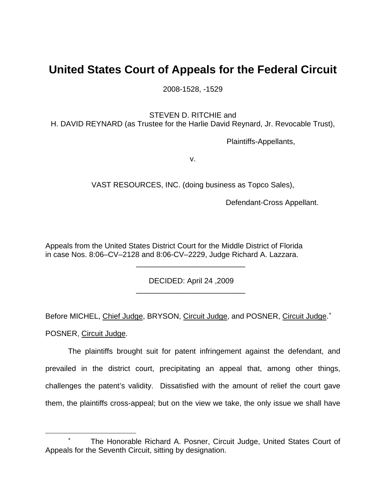## **United States Court of Appeals for the Federal Circuit**

2008-1528, -1529

STEVEN D. RITCHIE and

H. DAVID REYNARD (as Trustee for the Harlie David Reynard, Jr. Revocable Trust),

Plaintiffs-Appellants,

v.

VAST RESOURCES, INC. (doing business as Topco Sales),

Defendant-Cross Appellant.

Appeals from the United States District Court for the Middle District of Florida in case Nos. 8:06–CV–2128 and 8:06-CV–2229, Judge Richard A. Lazzara.

 $\frac{1}{2}$  , and the set of the set of the set of the set of the set of the set of the set of the set of the set of the set of the set of the set of the set of the set of the set of the set of the set of the set of the set

<u>.</u>

DECIDED: April 24 ,2009

\_\_\_\_\_\_\_\_\_\_\_\_\_\_\_\_\_\_\_\_\_\_\_\_\_\_

Before MICHEL, Chief Judge, BRYSON, Circuit Judge, and POSNER, Circuit Judge.<sup>\*</sup> POSNER, Circuit Judge.

The plaintiffs brought suit for patent infringement against the defendant, and prevailed in the district court, precipitating an appeal that, among other things, challenges the patent's validity. Dissatisfied with the amount of relief the court gave them, the plaintiffs cross-appeal; but on the view we take, the only issue we shall have

<span id="page-1-0"></span><sup>∗</sup> The Honorable Richard A. Posner, Circuit Judge, United States Court of Appeals for the Seventh Circuit, sitting by designation.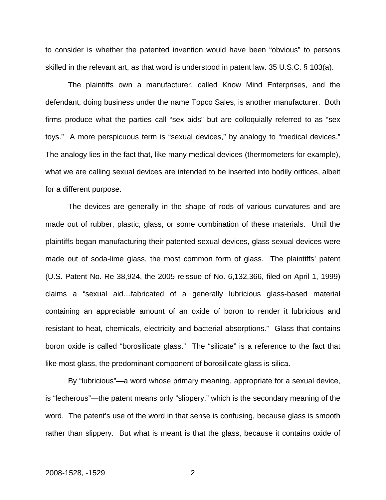to consider is whether the patented invention would have been "obvious" to persons skilled in the relevant art, as that word is understood in patent law. 35 U.S.C. § 103(a).

The plaintiffs own a manufacturer, called Know Mind Enterprises, and the defendant, doing business under the name Topco Sales, is another manufacturer. Both firms produce what the parties call "sex aids" but are colloquially referred to as "sex toys." A more perspicuous term is "sexual devices," by analogy to "medical devices." The analogy lies in the fact that, like many medical devices (thermometers for example), what we are calling sexual devices are intended to be inserted into bodily orifices, albeit for a different purpose.

The devices are generally in the shape of rods of various curvatures and are made out of rubber, plastic, glass, or some combination of these materials. Until the plaintiffs began manufacturing their patented sexual devices, glass sexual devices were made out of soda-lime glass, the most common form of glass. The plaintiffs' patent (U.S. Patent No. Re 38,924, the 2005 reissue of No. 6,132,366, filed on April 1, 1999) claims a "sexual aid…fabricated of a generally lubricious glass-based material containing an appreciable amount of an oxide of boron to render it lubricious and resistant to heat, chemicals, electricity and bacterial absorptions." Glass that contains boron oxide is called "borosilicate glass." The "silicate" is a reference to the fact that like most glass, the predominant component of borosilicate glass is silica.

By "lubricious"—a word whose primary meaning, appropriate for a sexual device, is "lecherous"—the patent means only "slippery," which is the secondary meaning of the word. The patent's use of the word in that sense is confusing, because glass is smooth rather than slippery. But what is meant is that the glass, because it contains oxide of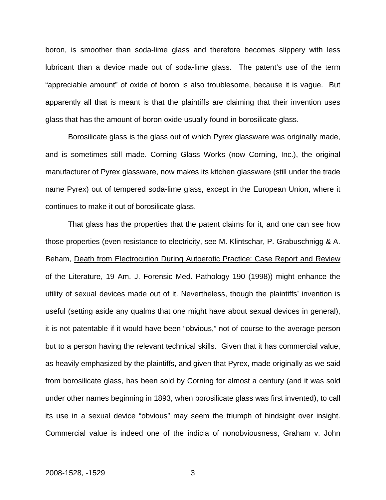boron, is smoother than soda-lime glass and therefore becomes slippery with less lubricant than a device made out of soda-lime glass. The patent's use of the term "appreciable amount" of oxide of boron is also troublesome, because it is vague. But apparently all that is meant is that the plaintiffs are claiming that their invention uses glass that has the amount of boron oxide usually found in borosilicate glass.

Borosilicate glass is the glass out of which Pyrex glassware was originally made, and is sometimes still made. Corning Glass Works (now Corning, Inc.), the original manufacturer of Pyrex glassware, now makes its kitchen glassware (still under the trade name Pyrex) out of tempered soda-lime glass, except in the European Union, where it continues to make it out of borosilicate glass.

That glass has the properties that the patent claims for it, and one can see how those properties (even resistance to electricity, see M. Klintschar, P. Grabuschnigg & A. Beham, Death from Electrocution During Autoerotic Practice: Case Report and Review of the Literature, 19 Am. J. Forensic Med. Pathology 190 (1998)) might enhance the utility of sexual devices made out of it. Nevertheless, though the plaintiffs' invention is useful (setting aside any qualms that one might have about sexual devices in general), it is not patentable if it would have been "obvious," not of course to the average person but to a person having the relevant technical skills. Given that it has commercial value, as heavily emphasized by the plaintiffs, and given that Pyrex, made originally as we said from borosilicate glass, has been sold by Corning for almost a century (and it was sold under other names beginning in 1893, when borosilicate glass was first invented), to call its use in a sexual device "obvious" may seem the triumph of hindsight over insight. Commercial value is indeed one of the indicia of nonobviousness, Graham v. John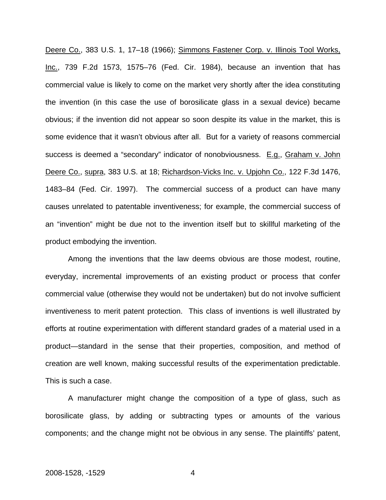Deere Co., 383 U.S. 1, 17–18 (1966); Simmons Fastener Corp. v. Illinois Tool Works, Inc., 739 F.2d 1573, 1575–76 (Fed. Cir. 1984), because an invention that has commercial value is likely to come on the market very shortly after the idea constituting the invention (in this case the use of borosilicate glass in a sexual device) became obvious; if the invention did not appear so soon despite its value in the market, this is some evidence that it wasn't obvious after all. But for a variety of reasons commercial success is deemed a "secondary" indicator of nonobviousness. E.g., Graham v. John Deere Co., supra, 383 U.S. at 18; Richardson-Vicks Inc. v. Upjohn Co., 122 F.3d 1476, 1483–84 (Fed. Cir. 1997). The commercial success of a product can have many causes unrelated to patentable inventiveness; for example, the commercial success of an "invention" might be due not to the invention itself but to skillful marketing of the product embodying the invention.

Among the inventions that the law deems obvious are those modest, routine, everyday, incremental improvements of an existing product or process that confer commercial value (otherwise they would not be undertaken) but do not involve sufficient inventiveness to merit patent protection. This class of inventions is well illustrated by efforts at routine experimentation with different standard grades of a material used in a product—standard in the sense that their properties, composition, and method of creation are well known, making successful results of the experimentation predictable. This is such a case.

A manufacturer might change the composition of a type of glass, such as borosilicate glass, by adding or subtracting types or amounts of the various components; and the change might not be obvious in any sense. The plaintiffs' patent,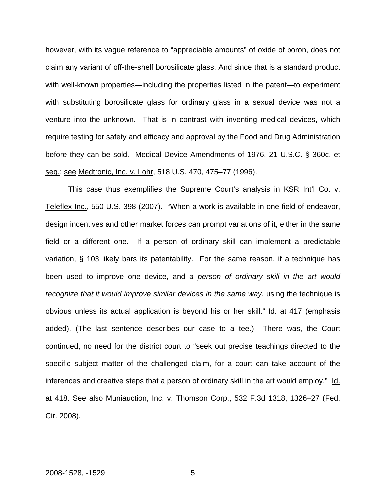however, with its vague reference to "appreciable amounts" of oxide of boron, does not claim any variant of off-the-shelf borosilicate glass. And since that is a standard product with well-known properties—including the properties listed in the patent—to experiment with substituting borosilicate glass for ordinary glass in a sexual device was not a venture into the unknown. That is in contrast with inventing medical devices, which require testing for safety and efficacy and approval by the Food and Drug Administration before they can be sold. Medical Device Amendments of 1976, 21 U.S.C. § 360c, et seq.; see Medtronic, Inc. v. Lohr, 518 U.S. 470, 475–77 (1996).

This case thus exemplifies the Supreme Court's analysis in KSR Int'l Co. v. Teleflex Inc., 550 U.S. 398 (2007). "When a work is available in one field of endeavor, design incentives and other market forces can prompt variations of it, either in the same field or a different one. If a person of ordinary skill can implement a predictable variation, § 103 likely bars its patentability. For the same reason, if a technique has been used to improve one device, and *a person of ordinary skill in the art would recognize that it would improve similar devices in the same way*, using the technique is obvious unless its actual application is beyond his or her skill." Id. at 417 (emphasis added). (The last sentence describes our case to a tee.) There was, the Court continued, no need for the district court to "seek out precise teachings directed to the specific subject matter of the challenged claim, for a court can take account of the inferences and creative steps that a person of ordinary skill in the art would employ." Id. at 418. See also Muniauction, Inc. v. Thomson Corp., 532 F.3d 1318, 1326–27 (Fed. Cir. 2008).